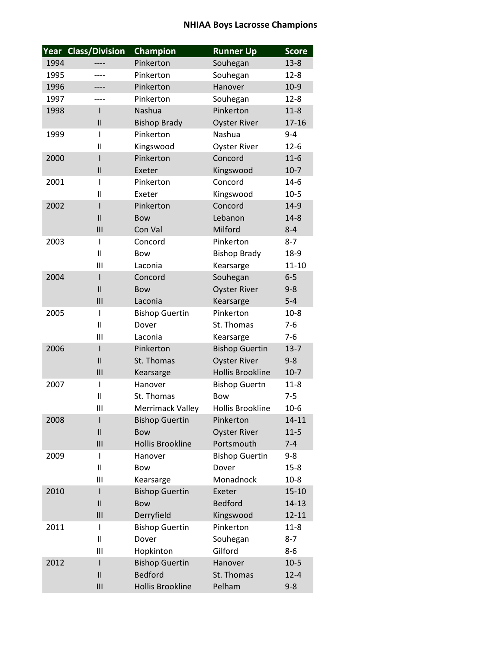## **NHIAA Boys Lacrosse Champions**

| Year | <b>Class/Division</b> | Champion                | <b>Runner Up</b>        | <b>Score</b> |
|------|-----------------------|-------------------------|-------------------------|--------------|
| 1994 | ----                  | Pinkerton               | Souhegan                | $13 - 8$     |
| 1995 | ----                  | Pinkerton               | Souhegan                | $12 - 8$     |
| 1996 |                       | Pinkerton               | Hanover                 | $10-9$       |
| 1997 | ----                  | Pinkerton               | Souhegan                | $12 - 8$     |
| 1998 | ı                     | Nashua                  | Pinkerton               | $11-8$       |
|      | $\mathsf{II}$         | <b>Bishop Brady</b>     | <b>Oyster River</b>     | 17-16        |
| 1999 | I                     | Pinkerton               | Nashua                  | $9 - 4$      |
|      | $\mathsf{II}$         | Kingswood               | <b>Oyster River</b>     | $12 - 6$     |
| 2000 | I                     | Pinkerton               | Concord                 | $11-6$       |
|      | $\mathsf{II}$         | Exeter                  | Kingswood               | $10-7$       |
| 2001 | I                     | Pinkerton               | Concord                 | $14-6$       |
|      | Ш                     | Exeter                  | Kingswood               | $10-5$       |
| 2002 | I                     | Pinkerton               | Concord                 | 14-9         |
|      | $\mathsf{II}$         | <b>Bow</b>              | Lebanon                 | $14 - 8$     |
|      | III                   | Con Val                 | Milford                 | $8 - 4$      |
| 2003 | I                     | Concord                 | Pinkerton               | $8 - 7$      |
|      | $\mathsf{II}$         | Bow                     | <b>Bishop Brady</b>     | $18-9$       |
|      | Ш                     | Laconia                 | Kearsarge               | $11 - 10$    |
| 2004 | ı                     | Concord                 | Souhegan                | $6-5$        |
|      | $\mathbf{I}$          | <b>Bow</b>              | <b>Oyster River</b>     | $9 - 8$      |
|      | III                   | Laconia                 | Kearsarge               | $5-4$        |
| 2005 | I                     | <b>Bishop Guertin</b>   | Pinkerton               | $10-8$       |
|      | $\mathsf{II}$         | Dover                   | St. Thomas              | $7-6$        |
|      | Ш                     | Laconia                 | Kearsarge               | $7-6$        |
| 2006 | ı                     | Pinkerton               | <b>Bishop Guertin</b>   | $13 - 7$     |
|      | $\mathsf{II}$         | St. Thomas              | <b>Oyster River</b>     | $9 - 8$      |
|      | III                   | Kearsarge               | <b>Hollis Brookline</b> | $10-7$       |
| 2007 | I                     | Hanover                 | <b>Bishop Guertn</b>    | $11 - 8$     |
|      | $\mathbf{I}$          | St. Thomas              | <b>Bow</b>              | $7 - 5$      |
|      | III                   | Merrimack Valley        | <b>Hollis Brookline</b> | $10-6$       |
| 2008 | I                     | <b>Bishop Guertin</b>   | Pinkerton               | 14-11        |
|      | $\mathsf{II}$         | <b>Bow</b>              | <b>Oyster River</b>     | $11-5$       |
|      | III                   | <b>Hollis Brookline</b> | Portsmouth              | $7 - 4$      |
| 2009 | I                     | Hanover                 | <b>Bishop Guertin</b>   | $9 - 8$      |
|      | $\mathsf{I}$          | <b>Bow</b>              | Dover                   | $15 - 8$     |
|      | Ш                     | Kearsarge               | Monadnock               | $10-8$       |
| 2010 | ı                     | <b>Bishop Guertin</b>   | Exeter                  | $15 - 10$    |
|      | $\mathsf{II}$         | <b>Bow</b>              | <b>Bedford</b>          | 14-13        |
|      | III                   | Derryfield              | Kingswood               | 12-11        |
| 2011 | I                     | <b>Bishop Guertin</b>   | Pinkerton               | $11-8$       |
|      | Ш                     | Dover                   | Souhegan                | $8 - 7$      |
|      | Ш                     | Hopkinton               | Gilford                 | $8-6$        |
| 2012 | I                     | <b>Bishop Guertin</b>   | Hanover                 | $10-5$       |
|      | $\mathsf{II}$         | <b>Bedford</b>          | St. Thomas              | $12 - 4$     |
|      | III                   | Hollis Brookline        | Pelham                  | $9 - 8$      |